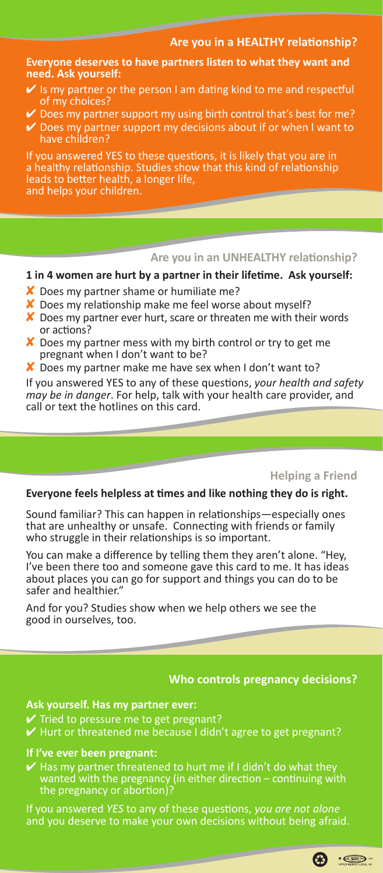# **Are you in a HEALTHY relationship?**

**Everyone deserves to have partners listen to what they want and need. Ask yourself:** 

- Is my partner or the person I am dating kind to me and respectful of my choices?
- ✔ Does my partner support my using birth control that's best for me?
- ✔ Does my partner support my decisions about if or when I want to have children?

If you answered YES to these questions, it is likely that you are in a healthy relationship. Studies show that this kind of relationship leads to better health, a longer life, and helps your children.

## **Are you in an UNHEALTHY relationship?**

#### **1 in 4 women are hurt by a partner in their lifetime. Ask yourself:**

- ✘ Does my partner shame or humiliate me?
- ✘ Does my relationship make me feel worse about myself?
- X Does my partner ever hurt, scare or threaten me with their words or actions?
- ✘ Does my partner mess with my birth control or try to get me pregnant when I don't want to be?
- X Does my partner make me have sex when I don't want to?

If you answered YES to any of these questions, *your health and safety may be in danger*. For help, talk with your health care provider, and call or text the hotlines on this card.

# **Helping a Friend**

## **Everyone feels helpless at times and like nothing they do is right.**

Sound familiar? This can happen in relationships—especially ones that are unhealthy or unsafe. Connecting with friends or family who struggle in their relationships is so important.

You can make a difference by telling them they aren't alone. "Hey, I've been there too and someone gave this card to me. It has ideas about places you can go for support and things you can do to be safer and healthier."

And for you? Studies show when we help others we see the good in ourselves, too.

# **Who controls pregnancy decisions?**

# **Ask yourself. Has my partner ever:**

- $\checkmark$  Tried to pressure me to get pregnant?
- $\vee$  Hurt or threatened me because I didn't agree to get pregnant?

### **If I've ever been pregnant:**

 $\checkmark$  Has my partner threatened to hurt me if I didn't do what they wanted with the pregnancy (in either direction – continuing with the pregnancy or abortion)?

and you deserve to make your own decisions without being afraid.